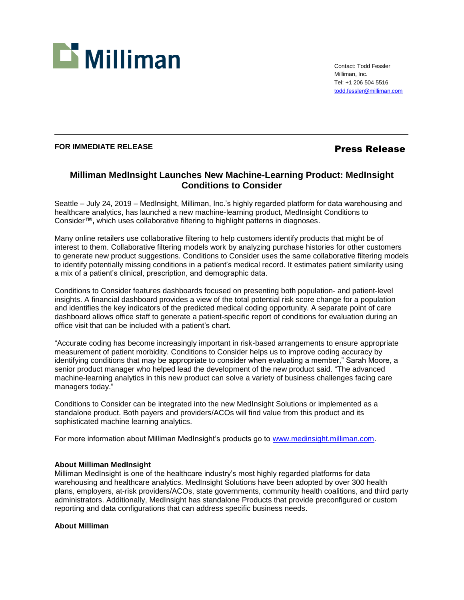

Contact: Todd Fessler Milliman, Inc. Tel: +1 206 504 5516 [todd.fessler@milliman.com](mailto:todd.fessler@milliman.com)

## **FOR IMMEDIATE RELEASE Press Release**

# **Milliman MedInsight Launches New Machine-Learning Product: MedInsight Conditions to Consider**

Seattle – July 24, 2019 – MedInsight, Milliman, Inc.'s highly regarded platform for data warehousing and healthcare analytics, has launched a new machine-learning product, MedInsight Conditions to Consider**™,** which uses collaborative filtering to highlight patterns in diagnoses.

Many online retailers use collaborative filtering to help customers identify products that might be of interest to them. Collaborative filtering models work by analyzing purchase histories for other customers to generate new product suggestions. Conditions to Consider uses the same collaborative filtering models to identify potentially missing conditions in a patient's medical record. It estimates patient similarity using a mix of a patient's clinical, prescription, and demographic data.

Conditions to Consider features dashboards focused on presenting both population- and patient-level insights. A financial dashboard provides a view of the total potential risk score change for a population and identifies the key indicators of the predicted medical coding opportunity. A separate point of care dashboard allows office staff to generate a patient-specific report of conditions for evaluation during an office visit that can be included with a patient's chart.

"Accurate coding has become increasingly important in risk-based arrangements to ensure appropriate measurement of patient morbidity. Conditions to Consider helps us to improve coding accuracy by identifying conditions that may be appropriate to consider when evaluating a member," Sarah Moore, a senior product manager who helped lead the development of the new product said. "The advanced machine-learning analytics in this new product can solve a variety of business challenges facing care managers today."

Conditions to Consider can be integrated into the new MedInsight Solutions or implemented as a standalone product. Both payers and providers/ACOs will find value from this product and its sophisticated machine learning analytics.

For more information about Milliman MedInsight's products go to [www.medinsight.milliman.com.](http://www.medinsight.milliman.com/)

## **About Milliman MedInsight**

Milliman MedInsight is one of the healthcare industry's most highly regarded platforms for data warehousing and healthcare analytics. MedInsight Solutions have been adopted by over 300 health plans, employers, at-risk providers/ACOs, state governments, community health coalitions, and third party administrators. Additionally, MedInsight has standalone Products that provide preconfigured or custom reporting and data configurations that can address specific business needs.

## **About Milliman**